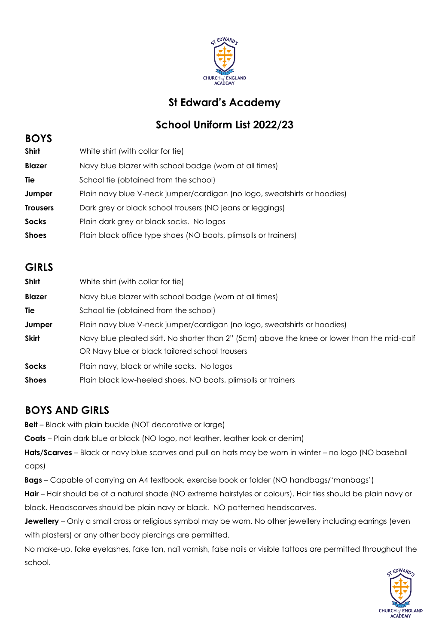

## **St Edward's Academy**

# **School Uniform List 2022/23**

#### **BOYS**

| <b>Shirt</b>    | White shirt (with collar for tie)                                        |
|-----------------|--------------------------------------------------------------------------|
| <b>Blazer</b>   | Navy blue blazer with school badge (worn at all times)                   |
| Tie             | School tie (obtained from the school)                                    |
| Jumper          | Plain navy blue V-neck jumper/cardigan (no logo, sweatshirts or hoodies) |
| <b>Trousers</b> | Dark grey or black school trousers (NO jeans or leggings)                |
| <b>Socks</b>    | Plain dark grey or black socks. No logos                                 |
| <b>Shoes</b>    | Plain black office type shoes (NO boots, plimsolls or trainers)          |

#### **GIRLS**

| <b>Shirt</b>  | White shirt (with collar for tie)                                                           |
|---------------|---------------------------------------------------------------------------------------------|
| <b>Blazer</b> | Navy blue blazer with school badge (worn at all times)                                      |
| Tie           | School tie (obtained from the school)                                                       |
| Jumper        | Plain navy blue V-neck jumper/cardigan (no logo, sweatshirts or hoodies)                    |
| <b>Skirt</b>  | Navy blue pleated skirt. No shorter than 2" (5cm) above the knee or lower than the mid-calf |
|               | OR Navy blue or black tailored school trousers                                              |
| <b>Socks</b>  | Plain navy, black or white socks. No logos                                                  |
| <b>Shoes</b>  | Plain black low-heeled shoes. NO boots, plimsolls or trainers                               |

### **BOYS AND GIRLS**

**Belt** – Black with plain buckle (NOT decorative or large)

**Coats** – Plain dark blue or black (NO logo, not leather, leather look or denim)

**Hats/Scarves** – Black or navy blue scarves and pull on hats may be worn in winter – no logo (NO baseball caps)

**Bags** – Capable of carrying an A4 textbook, exercise book or folder (NO handbags/'manbags')

**Hair** – Hair should be of a natural shade (NO extreme hairstyles or colours). Hair ties should be plain navy or black. Headscarves should be plain navy or black. NO patterned headscarves.

**Jewellery** – Only a small cross or religious symbol may be worn. No other jewellery including earrings (even with plasters) or any other body piercings are permitted.

No make-up, fake eyelashes, fake tan, nail varnish, false nails or visible tattoos are permitted throughout the school.

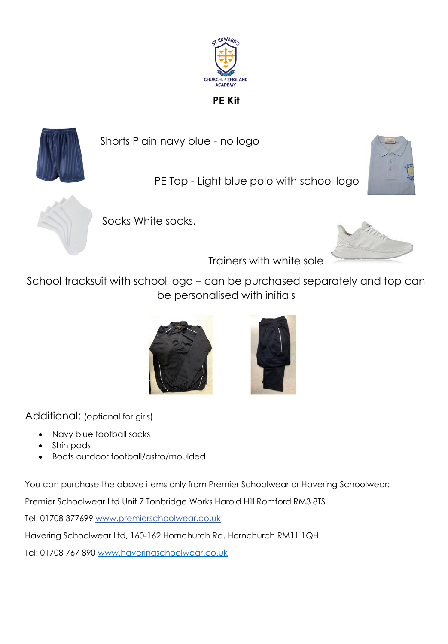

**PE Kit**



Shorts Plain navy blue - no logo

PE Top - Light blue polo with school logo





Socks White socks.



Trainers with white sole

School tracksuit with school logo – can be purchased separately and top can be personalised with initials





Additional: (optional for girls)

- Navy blue football socks
- Shin pads
- Boots outdoor football/astro/moulded

You can purchase the above items only from Premier Schoolwear or Havering Schoolwear:

Premier Schoolwear Ltd Unit 7 Tonbridge Works Harold Hill Romford RM3 8TS

Tel: 01708 377699 www.premierschoolwear.co.uk

Havering Schoolwear Ltd, 160-162 Hornchurch Rd, Hornchurch RM11 1QH

Tel: 01708 767 890 [www.haveringschoolwear.co.uk](http://www.haveringschoolwear.co.uk/)